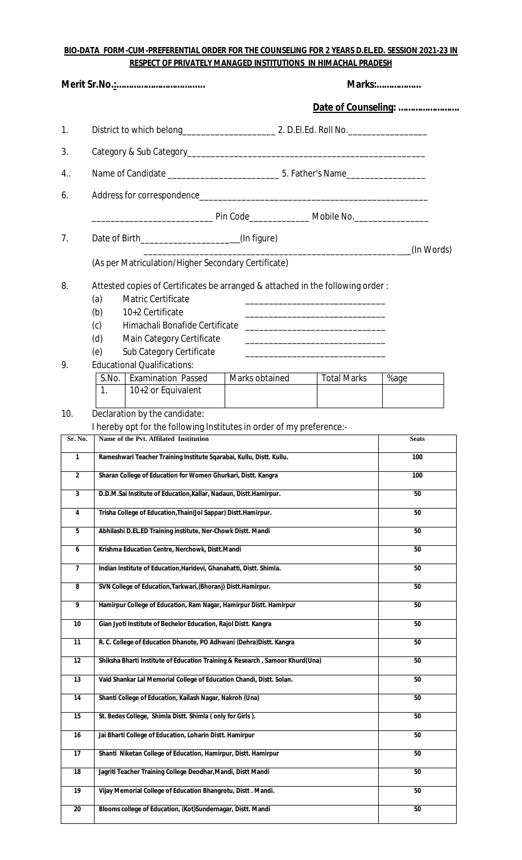## **BIO-DATA FORM-CUM-PREFERENTIAL ORDER FOR THE COUNSELING FOR 2 YEARS D.EL.ED. SESSION 2021-23 IN RESPECT OF PRIVATELY MANAGED INSTITUTIONS IN HIMACHAL PRADESH**

|                         | <b>Marks:</b>                                                                                                                                                    |                     |  |
|-------------------------|------------------------------------------------------------------------------------------------------------------------------------------------------------------|---------------------|--|
|                         |                                                                                                                                                                  | Date of Counseling: |  |
| 1.                      |                                                                                                                                                                  |                     |  |
| 3.                      |                                                                                                                                                                  |                     |  |
| 4                       |                                                                                                                                                                  |                     |  |
| 6.                      |                                                                                                                                                                  |                     |  |
|                         |                                                                                                                                                                  |                     |  |
| 7.                      |                                                                                                                                                                  |                     |  |
|                         | Date of Birth______________________(In figure)                                                                                                                   | (In Words)          |  |
|                         | (As per Matriculation/Higher Secondary Certificate)                                                                                                              |                     |  |
| 8.                      | Attested copies of Certificates be arranged & attached in the following order:                                                                                   |                     |  |
|                         | (a)<br><b>Matric Certificate</b><br><u> 1989 - Johann John Stone, market fan it ferskearre fan it ferskearre fan it ferskearre fan it ferskearre fan i</u>       |                     |  |
|                         | (b)<br>10+2 Certificate<br>Himachali Bonafide Certificate                                                                                                        |                     |  |
|                         | (c)<br>(d)<br>Main Category Certificate                                                                                                                          |                     |  |
|                         | <u> 1989 - Johann John Stone, mars et al. 1989 - John Stone, mars et al. 1989 - John Stone, mars et al. 1989 - John Stone</u><br>Sub Category Certificate<br>(e) |                     |  |
| 9.                      | <b>Educational Qualifications:</b>                                                                                                                               |                     |  |
|                         | S.No.   Examination Passed<br>Marks obtained<br><b>Total Marks</b>                                                                                               | %age                |  |
|                         | 1 <sub>1</sub><br>10+2 or Equivalent                                                                                                                             |                     |  |
| 10.                     | Declaration by the candidate:                                                                                                                                    |                     |  |
|                         | I hereby opt for the following Institutes in order of my preference:-                                                                                            |                     |  |
| Sr. No.                 | Name of the Pvt. Affilated Institution                                                                                                                           | <b>Seats</b>        |  |
| $\mathbf{1}$            | Rameshwari Teacher Training Institute Sqarabai, Kullu, Distt. Kullu.                                                                                             | 100                 |  |
| $\mathbf{2}$            | Sharan College of Education for Women Ghurkari, Distt. Kangra                                                                                                    | 100                 |  |
| $\overline{\mathbf{3}}$ | D.D.M.Sai Institute of Education, Kallar, Nadaun, Distt.Hamirpur.                                                                                                | 50                  |  |
| 4                       | Trisha College of Education, Thain(Jol Sappar) Distt. Hamirpur.                                                                                                  | 50                  |  |
| 5                       | Abhilashi D.EL.ED Training institute, Ner-Chowk Distt. Mandi                                                                                                     | 50                  |  |
| 6                       | Krishma Education Centre, Nerchowk, Distt.Mandi                                                                                                                  | 50                  |  |
| $\overline{7}$          | Indian Institute of Education, Haridevi, Ghanahatti, Distt. Shimla.                                                                                              | 50                  |  |
| 8                       | SVN College of Education, Tarkwari, (Bhoranj) Distt. Hamirpur.                                                                                                   | 50                  |  |
| 9                       | Hamirpur College of Education, Ram Nagar, Hamirpur Distt. Hamirpur                                                                                               | 50                  |  |
| 10                      | Gian Jyoti Institute of Bechelor Education, Rajol Distt. Kangra                                                                                                  | 50                  |  |
| 11                      | R. C. College of Education Dhanote, PO Adhwani (Dehra)Distt. Kangra                                                                                              | 50                  |  |
| 12                      | Shiksha Bharti Institute of Education Training & Research, Samoor Khurd(Una)                                                                                     | 50                  |  |
| 13                      | Vaid Shankar Lal Memorial College of Education Chandi, Distt. Solan.                                                                                             | 50                  |  |
| 14                      | Shanti College of Education, Kailash Nagar, Nakroh (Una)                                                                                                         | 50                  |  |
| 15                      | St. Bedes College, Shimla Distt. Shimla (only for Girls).                                                                                                        | 50                  |  |
| 16                      | Jai Bharti College of Education, Loharin Distt. Hamirpur                                                                                                         | 50                  |  |
| 17                      | Shanti Niketan College of Education, Hamirpur, Distt. Hamirpur                                                                                                   | 50                  |  |
| 18                      | Jagriti Teacher Training College Deodhar, Mandi, Distt Mandi                                                                                                     | 50                  |  |
| 19                      | Vijay Memorial College of Education Bhangrotu, Distt. Mandi.                                                                                                     | 50                  |  |
| 20                      | Blooms college of Education, (Kot)Sundernagar, Distt. Mandi                                                                                                      | 50                  |  |